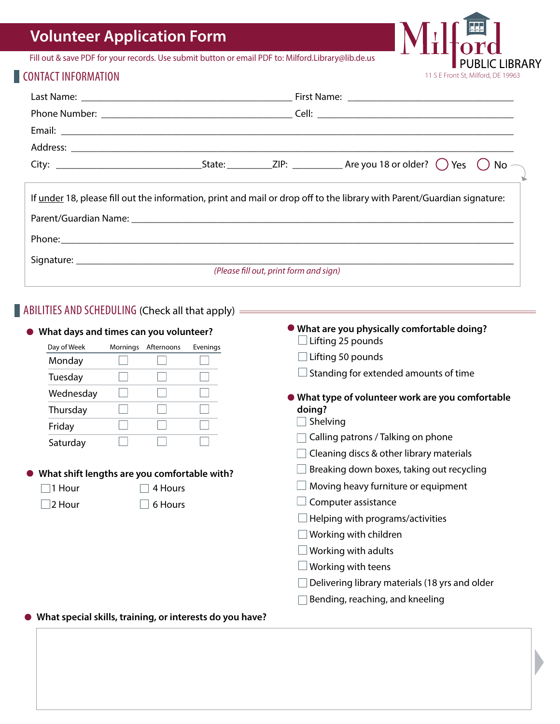# **Volunteer Application Form**

Fill out & save PDF for your records. Use submit button or email PDF to: Milford.Library@lib.de.us

### **CONTACT INFORMATION**

| If under 18, please fill out the information, print and mail or drop off to the library with Parent/Guardian signature: |  |                                        |  |  |  |
|-------------------------------------------------------------------------------------------------------------------------|--|----------------------------------------|--|--|--|
|                                                                                                                         |  |                                        |  |  |  |
|                                                                                                                         |  | (Please fill out, print form and sign) |  |  |  |
|                                                                                                                         |  |                                        |  |  |  |

11 S E Front St, Milford, DE 19963

**CLIBRARY** 

M

#### $\blacksquare$  ABILITIES AND SCHEDULING (Check all that apply) =

| What days and times can you volunteer? |                                              |          | • What are you physically comfortable doing?<br>Lifting 25 pounds |
|----------------------------------------|----------------------------------------------|----------|-------------------------------------------------------------------|
| Day of Week                            | Mornings Afternoons                          | Evenings | Lifting 50 pounds                                                 |
| Monday                                 |                                              |          |                                                                   |
| Tuesday                                |                                              |          | Standing for extended amounts of time                             |
| Wednesday                              |                                              |          | • What type of volunteer work are you comfortable                 |
| Thursday                               |                                              |          | doing?                                                            |
| Friday                                 |                                              |          | Shelving                                                          |
| Saturday                               |                                              |          | Calling patrons / Talking on phone                                |
|                                        |                                              |          | Cleaning discs & other library materials                          |
|                                        | What shift lengths are you comfortable with? |          | Breaking down boxes, taking out recycling                         |
| $\Box$ 1 Hour                          | 4 Hours                                      |          | Moving heavy furniture or equipment                               |
| $\sqcup$ 2 Hour                        | 6 Hours                                      |          | Computer assistance                                               |
|                                        |                                              |          | Helping with programs/activities                                  |
|                                        |                                              |          | Working with children                                             |
|                                        |                                              |          | Working with adults                                               |
|                                        |                                              |          | Working with teens                                                |
|                                        |                                              |          | Delivering library materials (18 yrs and older                    |
|                                        |                                              |          | Bending, reaching, and kneeling                                   |

**What special skills, training, or interests do you have?**